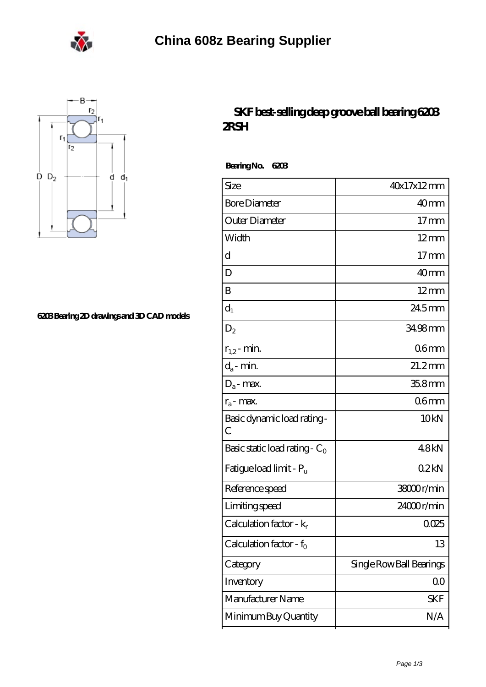



## **[6203 Bearing 2D drawings and 3D CAD models](https://eheuroantenna.com/pic-636085.html)**

## **[SKF best-selling deep groove ball bearing 6203](https://eheuroantenna.com/skf-6806-2rs-bearing/skf-6203.html) [2RSH](https://eheuroantenna.com/skf-6806-2rs-bearing/skf-6203.html)**

 **Bearing No. 6203**

| Size                                | 40x17x12mm               |
|-------------------------------------|--------------------------|
| <b>Bore Diameter</b>                | 40 <sub>mm</sub>         |
| Outer Diameter                      | $17 \text{mm}$           |
| Width                               | $12 \text{mm}$           |
| d                                   | $17$ mm                  |
| D                                   | 40 <sub>mm</sub>         |
| B                                   | $12 \text{mm}$           |
| $d_1$                               | 24.5mm                   |
| $\mathrm{D}_2$                      | 34.98mm                  |
| $r_{1,2}$ - min.                    | 06 <sub>mm</sub>         |
| $d_a$ - min.                        | $21.2$ mm                |
| $D_a$ - max.                        | $358$ mm                 |
| $r_a$ - max.                        | 06 <sub>mm</sub>         |
| Basic dynamic load rating-<br>С     | 10 <sub>kN</sub>         |
| Basic static load rating - $C_0$    | 48kN                     |
| Fatigue load limit - Pu             | 02kN                     |
| Reference speed                     | 38000r/min               |
| Limiting speed                      | 24000r/min               |
| Calculation factor - $k_r$          | 0025                     |
| Calculation factor - f <sub>o</sub> | 13                       |
| Category                            | Single Row Ball Bearings |
| Inventory                           | QO                       |
| Manufacturer Name                   | SKF                      |
| Minimum Buy Quantity                | N/A                      |
|                                     |                          |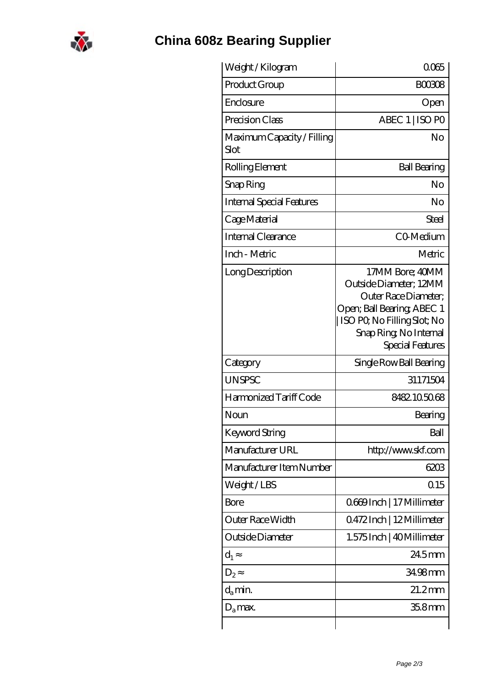

## **[China 608z Bearing Supplier](https://eheuroantenna.com)**

| Weight / Kilogram                  | 0065                                                                                                                                                                         |
|------------------------------------|------------------------------------------------------------------------------------------------------------------------------------------------------------------------------|
| Product Group                      | <b>BOO308</b>                                                                                                                                                                |
| Enclosure                          | Open                                                                                                                                                                         |
| Precision Class                    | ABEC 1   ISO PO                                                                                                                                                              |
| Maximum Capacity / Filling<br>Slot | No                                                                                                                                                                           |
| Rolling Element                    | <b>Ball Bearing</b>                                                                                                                                                          |
| Snap Ring                          | No                                                                                                                                                                           |
| <b>Internal Special Features</b>   | No                                                                                                                                                                           |
| Cage Material                      | Steel                                                                                                                                                                        |
| <b>Internal Clearance</b>          | CO-Medium                                                                                                                                                                    |
| Inch - Metric                      | Metric                                                                                                                                                                       |
| Long Description                   | 17MM Bore; 40MM<br>Outside Diameter: 12MM<br>Outer Race Diameter;<br>Open; Ball Bearing; ABEC 1<br>ISO PO, No Filling Slot; No<br>Snap Ring, No Internal<br>Special Features |
| Category                           | Single Row Ball Bearing                                                                                                                                                      |
| <b>UNSPSC</b>                      | 31171504                                                                                                                                                                     |
| Harmonized Tariff Code             | 8482105068                                                                                                                                                                   |
| Noun                               | Bearing                                                                                                                                                                      |
| Keyword String                     | Ball                                                                                                                                                                         |
| Manufacturer URL                   | http://www.skf.com                                                                                                                                                           |
| Manufacturer Item Number           | 6203                                                                                                                                                                         |
| Weight/LBS                         | 0.15                                                                                                                                                                         |
| Bore                               | 0669Inch   17 Millimeter                                                                                                                                                     |
| Outer Race Width                   | 0472Inch   12Millimeter                                                                                                                                                      |
| Outside Diameter                   | 1.575 Inch   40 Millimeter                                                                                                                                                   |
| $d_1$                              | 245mm                                                                                                                                                                        |
| $D_{2}$                            | 34.98mm                                                                                                                                                                      |
| $d_{a}$ min.                       | $21.2$ mm                                                                                                                                                                    |
| $D_a$ max.                         | 35.8mm                                                                                                                                                                       |
|                                    |                                                                                                                                                                              |